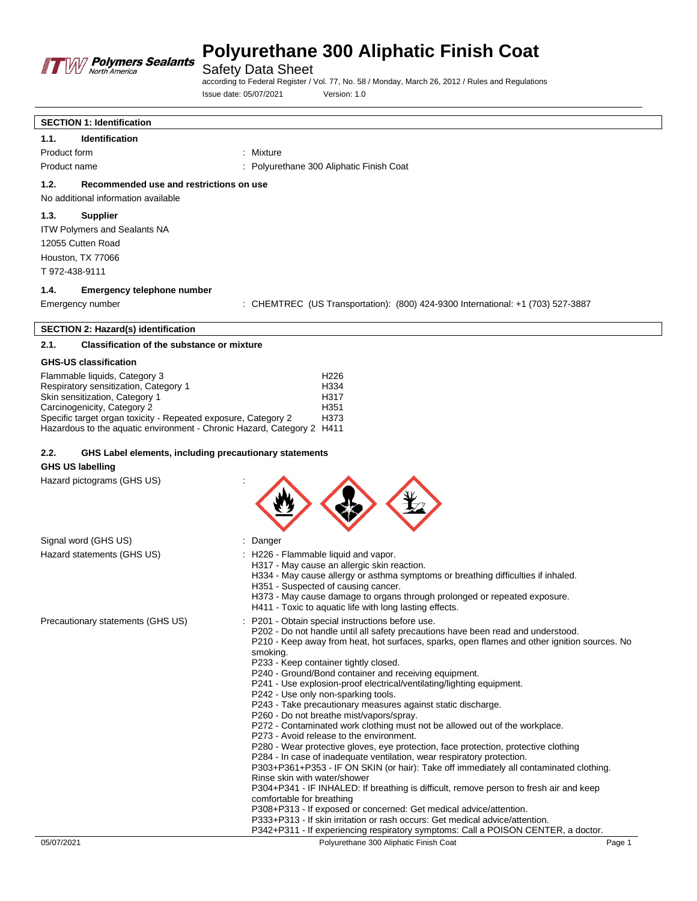

Safety Data Sheet

according to Federal Register / Vol. 77, No. 58 / Monday, March 26, 2012 / Rules and Regulations Issue date: 05/07/2021 Version: 1.0

## **SECTION 1: Identification 1.1. Identification** Product form : Mixture : Mixture Product name **1988** Coat : Polyurethane 300 Aliphatic Finish Coat **1.2. Recommended use and restrictions on use** No additional information available **1.3. Supplier** ITW Polymers and Sealants NA 12055 Cutten Road Houston, TX 77066 T 972-438-9111 **1.4. Emergency telephone number**

Emergency number : CHEMTREC (US Transportation): (800) 424-9300 International: +1 (703) 527-3887

## **SECTION 2: Hazard(s) identification**

## **2.1. Classification of the substance or mixture**

### **GHS-US classification**

| Flammable liquids, Category 3                                          | H <sub>226</sub> |
|------------------------------------------------------------------------|------------------|
| Respiratory sensitization, Category 1                                  | H <sub>334</sub> |
| Skin sensitization, Category 1                                         | H317             |
| Carcinogenicity, Category 2                                            | H351             |
| Specific target organ toxicity - Repeated exposure, Category 2         | H373             |
| Hazardous to the aguatic environment - Chronic Hazard, Category 2 H411 |                  |

### **2.2. GHS Label elements, including precautionary statements**

#### **GHS US labelling**

Hazard pictograms (GHS US) :

| ۰ | ъ. |  |
|---|----|--|
|   |    |  |

| Signal word (GHS US)              | : Danger                                                                                                                                                                                                                                                                                                                                                                                                                                                                                                                                                                                                                                                                                                                                                                                                                                                                                                                                                                                                                                                                                                                                                                                                                                                                                                                                                               |
|-----------------------------------|------------------------------------------------------------------------------------------------------------------------------------------------------------------------------------------------------------------------------------------------------------------------------------------------------------------------------------------------------------------------------------------------------------------------------------------------------------------------------------------------------------------------------------------------------------------------------------------------------------------------------------------------------------------------------------------------------------------------------------------------------------------------------------------------------------------------------------------------------------------------------------------------------------------------------------------------------------------------------------------------------------------------------------------------------------------------------------------------------------------------------------------------------------------------------------------------------------------------------------------------------------------------------------------------------------------------------------------------------------------------|
| Hazard statements (GHS US)        | : H226 - Flammable liquid and vapor.<br>H317 - May cause an allergic skin reaction.<br>H334 - May cause allergy or asthma symptoms or breathing difficulties if inhaled.<br>H351 - Suspected of causing cancer.<br>H373 - May cause damage to organs through prolonged or repeated exposure.<br>H411 - Toxic to aquatic life with long lasting effects.                                                                                                                                                                                                                                                                                                                                                                                                                                                                                                                                                                                                                                                                                                                                                                                                                                                                                                                                                                                                                |
| Precautionary statements (GHS US) | : P201 - Obtain special instructions before use.<br>P202 - Do not handle until all safety precautions have been read and understood.<br>P210 - Keep away from heat, hot surfaces, sparks, open flames and other ignition sources. No<br>smoking.<br>P233 - Keep container tightly closed.<br>P240 - Ground/Bond container and receiving equipment.<br>P241 - Use explosion-proof electrical/ventilating/lighting equipment.<br>P242 - Use only non-sparking tools.<br>P243 - Take precautionary measures against static discharge.<br>P260 - Do not breathe mist/vapors/spray.<br>P272 - Contaminated work clothing must not be allowed out of the workplace.<br>P273 - Avoid release to the environment.<br>P280 - Wear protective gloves, eye protection, face protection, protective clothing<br>P284 - In case of inadequate ventilation, wear respiratory protection.<br>P303+P361+P353 - IF ON SKIN (or hair): Take off immediately all contaminated clothing.<br>Rinse skin with water/shower<br>P304+P341 - IF INHALED: If breathing is difficult, remove person to fresh air and keep<br>comfortable for breathing<br>P308+P313 - If exposed or concerned: Get medical advice/attention.<br>P333+P313 - If skin irritation or rash occurs: Get medical advice/attention.<br>P342+P311 - If experiencing respiratory symptoms: Call a POISON CENTER, a doctor. |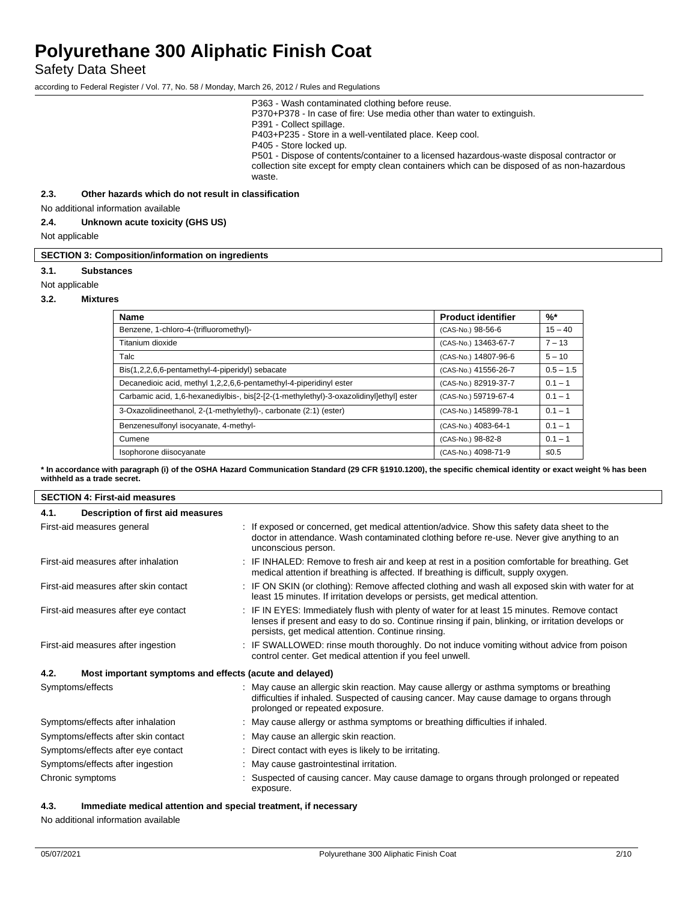## Safety Data Sheet

according to Federal Register / Vol. 77, No. 58 / Monday, March 26, 2012 / Rules and Regulations

| P363 - Wash contaminated clothing before reuse.                                             |
|---------------------------------------------------------------------------------------------|
| P370+P378 - In case of fire: Use media other than water to extinguish.                      |
| P391 - Collect spillage.                                                                    |
| P403+P235 - Store in a well-ventilated place. Keep cool.                                    |
| P405 - Store locked up.                                                                     |
| P501 - Dispose of contents/container to a licensed hazardous-waste disposal contractor or   |
| collection site except for empty clean containers which can be disposed of as non-hazardous |
| waste.                                                                                      |
|                                                                                             |

**2.3. Other hazards which do not result in classification**

No additional information available

#### **2.4. Unknown acute toxicity (GHS US)**

Not applicable

#### **SECTION 3: Composition/information on ingredients**

#### **3.1. Substances**

Not applicable

## **3.2. Mixtures**

| <b>Name</b>                                                                             | <b>Product identifier</b> | $%$ *       |
|-----------------------------------------------------------------------------------------|---------------------------|-------------|
| Benzene, 1-chloro-4-(trifluoromethyl)-                                                  | (CAS-No.) 98-56-6         | $15 - 40$   |
| Titanium dioxide                                                                        | (CAS-No.) 13463-67-7      | $7 - 13$    |
| Talc                                                                                    | (CAS-No.) 14807-96-6      | $5 - 10$    |
| Bis(1,2,2,6,6-pentamethyl-4-piperidyl) sebacate                                         | (CAS-No.) 41556-26-7      | $0.5 - 1.5$ |
| Decanedioic acid, methyl 1,2,2,6,6-pentamethyl-4-piperidinyl ester                      | (CAS-No.) 82919-37-7      | $0.1 - 1$   |
| Carbamic acid, 1,6-hexanediylbis-, bis[2-[2-(1-methylethyl)-3-oxazolidinyl]ethyl] ester | (CAS-No.) 59719-67-4      | $0.1 - 1$   |
| 3-Oxazolidineethanol, 2-(1-methylethyl)-, carbonate (2:1) (ester)                       | (CAS-No.) 145899-78-1     | $0.1 - 1$   |
| Benzenesulfonyl isocyanate, 4-methyl-                                                   | (CAS-No.) 4083-64-1       | $0.1 - 1$   |
| Cumene                                                                                  | (CAS-No.) 98-82-8         | $0.1 - 1$   |
| Isophorone diisocyanate                                                                 | (CAS-No.) 4098-71-9       | $\leq 0.5$  |

**\* In accordance with paragraph (i) of the OSHA Hazard Communication Standard (29 CFR §1910.1200), the specific chemical identity or exact weight % has been withheld as a trade secret.**

| <b>SECTION 4: First-aid measures</b>                            |                                                                                                                                                                                                                                                          |  |
|-----------------------------------------------------------------|----------------------------------------------------------------------------------------------------------------------------------------------------------------------------------------------------------------------------------------------------------|--|
| Description of first aid measures<br>4.1.                       |                                                                                                                                                                                                                                                          |  |
| First-aid measures general                                      | : If exposed or concerned, get medical attention/advice. Show this safety data sheet to the<br>doctor in attendance. Wash contaminated clothing before re-use. Never give anything to an<br>unconscious person.                                          |  |
| First-aid measures after inhalation                             | : IF INHALED: Remove to fresh air and keep at rest in a position comfortable for breathing. Get<br>medical attention if breathing is affected. If breathing is difficult, supply oxygen.                                                                 |  |
| First-aid measures after skin contact                           | : IF ON SKIN (or clothing): Remove affected clothing and wash all exposed skin with water for at<br>least 15 minutes. If irritation develops or persists, get medical attention.                                                                         |  |
| First-aid measures after eye contact                            | : IF IN EYES: Immediately flush with plenty of water for at least 15 minutes. Remove contact<br>lenses if present and easy to do so. Continue rinsing if pain, blinking, or irritation develops or<br>persists, get medical attention. Continue rinsing. |  |
| First-aid measures after ingestion                              | : IF SWALLOWED: rinse mouth thoroughly. Do not induce vomiting without advice from poison<br>control center. Get medical attention if you feel unwell.                                                                                                   |  |
| 4.2.<br>Most important symptoms and effects (acute and delayed) |                                                                                                                                                                                                                                                          |  |
| Symptoms/effects                                                | : May cause an allergic skin reaction. May cause allergy or asthma symptoms or breathing<br>difficulties if inhaled. Suspected of causing cancer. May cause damage to organs through<br>prolonged or repeated exposure.                                  |  |
| Symptoms/effects after inhalation                               | : May cause allergy or asthma symptoms or breathing difficulties if inhaled.                                                                                                                                                                             |  |
| Symptoms/effects after skin contact                             | : May cause an allergic skin reaction.                                                                                                                                                                                                                   |  |
| Symptoms/effects after eye contact                              | : Direct contact with eyes is likely to be irritating.                                                                                                                                                                                                   |  |
| Symptoms/effects after ingestion                                | : May cause gastrointestinal irritation.                                                                                                                                                                                                                 |  |
| Chronic symptoms                                                | : Suspected of causing cancer. May cause damage to organs through prolonged or repeated<br>exposure.                                                                                                                                                     |  |

## **4.3. Immediate medical attention and special treatment, if necessary**

No additional information available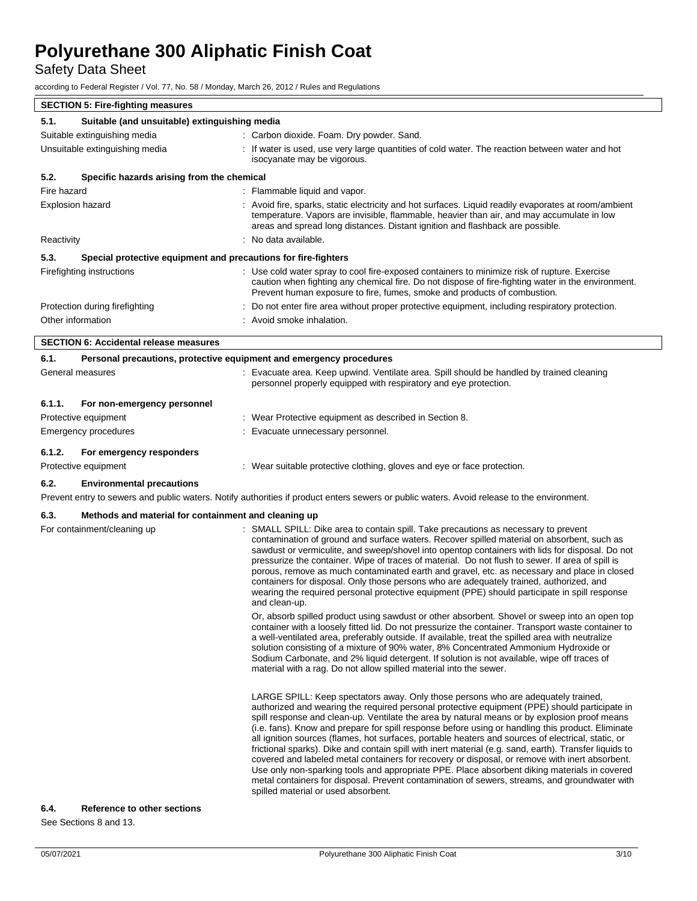Safety Data Sheet

according to Federal Register / Vol. 77, No. 58 / Monday, March 26, 2012 / Rules and Regulations

| <b>SECTION 5: Fire-fighting measures</b>                               |                                                                                                                                   |                                                                                                                                                                                                                                                                                    |  |
|------------------------------------------------------------------------|-----------------------------------------------------------------------------------------------------------------------------------|------------------------------------------------------------------------------------------------------------------------------------------------------------------------------------------------------------------------------------------------------------------------------------|--|
| 5.1.                                                                   | Suitable (and unsuitable) extinguishing media                                                                                     |                                                                                                                                                                                                                                                                                    |  |
|                                                                        | : Carbon dioxide. Foam. Dry powder. Sand.<br>Suitable extinguishing media                                                         |                                                                                                                                                                                                                                                                                    |  |
| Unsuitable extinguishing media                                         |                                                                                                                                   | : If water is used, use very large quantities of cold water. The reaction between water and hot<br>isocyanate may be vigorous.                                                                                                                                                     |  |
| 5.2.                                                                   | Specific hazards arising from the chemical                                                                                        |                                                                                                                                                                                                                                                                                    |  |
| Fire hazard                                                            |                                                                                                                                   | : Flammable liquid and vapor.                                                                                                                                                                                                                                                      |  |
| Explosion hazard                                                       |                                                                                                                                   | : Avoid fire, sparks, static electricity and hot surfaces. Liquid readily evaporates at room/ambient<br>temperature. Vapors are invisible, flammable, heavier than air, and may accumulate in low<br>areas and spread long distances. Distant ignition and flashback are possible. |  |
| Reactivity                                                             |                                                                                                                                   | : No data available.                                                                                                                                                                                                                                                               |  |
| 5.3.<br>Special protective equipment and precautions for fire-fighters |                                                                                                                                   |                                                                                                                                                                                                                                                                                    |  |
|                                                                        | Firefighting instructions                                                                                                         | : Use cold water spray to cool fire-exposed containers to minimize risk of rupture. Exercise<br>caution when fighting any chemical fire. Do not dispose of fire-fighting water in the environment.<br>Prevent human exposure to fire, fumes, smoke and products of combustion.     |  |
|                                                                        | Protection during firefighting<br>: Do not enter fire area without proper protective equipment, including respiratory protection. |                                                                                                                                                                                                                                                                                    |  |
| Other information<br>: Avoid smoke inhalation.                         |                                                                                                                                   |                                                                                                                                                                                                                                                                                    |  |
| <b>SECTION 6: Accidental release measures</b>                          |                                                                                                                                   |                                                                                                                                                                                                                                                                                    |  |
| 6.1.                                                                   | Personal precautions, protective equipment and emergency procedures                                                               |                                                                                                                                                                                                                                                                                    |  |
| General measures                                                       |                                                                                                                                   | : Evacuate area. Keep upwind. Ventilate area. Spill should be handled by trained cleaning<br>personnel properly equipped with respiratory and eye protection.                                                                                                                      |  |
| 6.1.1.                                                                 | For non-emergency personnel                                                                                                       |                                                                                                                                                                                                                                                                                    |  |
| Protective equipment                                                   |                                                                                                                                   | : Wear Protective equipment as described in Section 8.                                                                                                                                                                                                                             |  |
| Emergency procedures                                                   |                                                                                                                                   | : Evacuate unnecessary personnel.                                                                                                                                                                                                                                                  |  |

## **6.1.2. For emergency responders**

## Protective equipment : Wear suitable protective clothing, gloves and eye or face protection.

## **6.2. Environmental precautions**

Prevent entry to sewers and public waters. Notify authorities if product enters sewers or public waters. Avoid release to the environment.

## **6.3. Methods and material for containment and cleaning up**

| For containment/cleaning up | SMALL SPILL: Dike area to contain spill. Take precautions as necessary to prevent<br>contamination of ground and surface waters. Recover spilled material on absorbent, such as<br>sawdust or vermiculite, and sweep/shovel into opentop containers with lids for disposal. Do not<br>pressurize the container. Wipe of traces of material. Do not flush to sewer. If area of spill is<br>porous, remove as much contaminated earth and gravel, etc. as necessary and place in closed<br>containers for disposal. Only those persons who are adequately trained, authorized, and<br>wearing the required personal protective equipment (PPE) should participate in spill response                                                                                                                                                                                                                                                                 |
|-----------------------------|---------------------------------------------------------------------------------------------------------------------------------------------------------------------------------------------------------------------------------------------------------------------------------------------------------------------------------------------------------------------------------------------------------------------------------------------------------------------------------------------------------------------------------------------------------------------------------------------------------------------------------------------------------------------------------------------------------------------------------------------------------------------------------------------------------------------------------------------------------------------------------------------------------------------------------------------------|
|                             | and clean-up.<br>Or, absorb spilled product using sawdust or other absorbent. Shovel or sweep into an open top<br>container with a loosely fitted lid. Do not pressurize the container. Transport waste container to<br>a well-ventilated area, preferably outside. If available, treat the spilled area with neutralize<br>solution consisting of a mixture of 90% water, 8% Concentrated Ammonium Hydroxide or<br>Sodium Carbonate, and 2% liquid detergent. If solution is not available, wipe off traces of<br>material with a rag. Do not allow spilled material into the sewer.                                                                                                                                                                                                                                                                                                                                                             |
|                             | LARGE SPILL: Keep spectators away. Only those persons who are adequately trained,<br>authorized and wearing the required personal protective equipment (PPE) should participate in<br>spill response and clean-up. Ventilate the area by natural means or by explosion proof means<br>(i.e. fans). Know and prepare for spill response before using or handling this product. Eliminate<br>all ignition sources (flames, hot surfaces, portable heaters and sources of electrical, static, or<br>frictional sparks). Dike and contain spill with inert material (e.g. sand, earth). Transfer liquids to<br>covered and labeled metal containers for recovery or disposal, or remove with inert absorbent.<br>Use only non-sparking tools and appropriate PPE. Place absorbent diking materials in covered<br>metal containers for disposal. Prevent contamination of sewers, streams, and groundwater with<br>spilled material or used absorbent. |

## **6.4. Reference to other sections**

See Sections 8 and 13.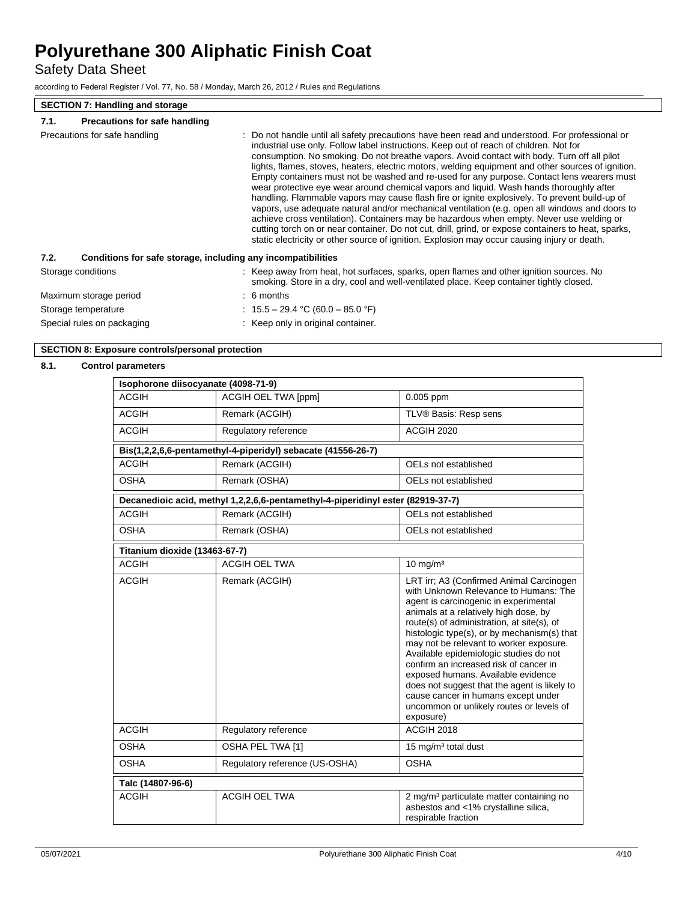Safety Data Sheet

according to Federal Register / Vol. 77, No. 58 / Monday, March 26, 2012 / Rules and Regulations

## **SECTION 7: Handling and storage**

## **7.1. Precautions for safe handling**

| Precautions for safe handling | : Do not handle until all safety precautions have been read and understood. For professional or<br>industrial use only. Follow label instructions. Keep out of reach of children. Not for<br>consumption. No smoking. Do not breathe vapors. Avoid contact with body. Turn off all pilot<br>lights, flames, stoves, heaters, electric motors, welding equipment and other sources of ignition.<br>Empty containers must not be washed and re-used for any purpose. Contact lens wearers must<br>wear protective eye wear around chemical vapors and liquid. Wash hands thoroughly after<br>handling. Flammable vapors may cause flash fire or ignite explosively. To prevent build-up of<br>vapors, use adequate natural and/or mechanical ventilation (e.g. open all windows and doors to<br>achieve cross ventilation). Containers may be hazardous when empty. Never use welding or<br>cutting torch on or near container. Do not cut, drill, grind, or expose containers to heat, sparks,<br>static electricity or other source of ignition. Explosion may occur causing injury or death. |  |
|-------------------------------|-----------------------------------------------------------------------------------------------------------------------------------------------------------------------------------------------------------------------------------------------------------------------------------------------------------------------------------------------------------------------------------------------------------------------------------------------------------------------------------------------------------------------------------------------------------------------------------------------------------------------------------------------------------------------------------------------------------------------------------------------------------------------------------------------------------------------------------------------------------------------------------------------------------------------------------------------------------------------------------------------------------------------------------------------------------------------------------------------|--|
| 7.2.                          | Conditions for safe storage, including any incompatibilities                                                                                                                                                                                                                                                                                                                                                                                                                                                                                                                                                                                                                                                                                                                                                                                                                                                                                                                                                                                                                                  |  |
| Storage conditions            | : Keep away from heat, hot surfaces, sparks, open flames and other ignition sources. No<br>smoking. Store in a dry, cool and well-ventilated place. Keep container tightly closed.                                                                                                                                                                                                                                                                                                                                                                                                                                                                                                                                                                                                                                                                                                                                                                                                                                                                                                            |  |
| Maximum storage period        | $\therefore$ 6 months                                                                                                                                                                                                                                                                                                                                                                                                                                                                                                                                                                                                                                                                                                                                                                                                                                                                                                                                                                                                                                                                         |  |
| Storage temperature           | : $15.5 - 29.4$ °C (60.0 - 85.0 °F)                                                                                                                                                                                                                                                                                                                                                                                                                                                                                                                                                                                                                                                                                                                                                                                                                                                                                                                                                                                                                                                           |  |
| Special rules on packaging    | : Keep only in original container.                                                                                                                                                                                                                                                                                                                                                                                                                                                                                                                                                                                                                                                                                                                                                                                                                                                                                                                                                                                                                                                            |  |

## **SECTION 8: Exposure controls/personal protection**

### **8.1. Control parameters**

| Isophorone diisocyanate (4098-71-9) |                                                                                 |                                                                                                                                                                                                                                                                                                                                                                                                                                                                                                                                                                                       |
|-------------------------------------|---------------------------------------------------------------------------------|---------------------------------------------------------------------------------------------------------------------------------------------------------------------------------------------------------------------------------------------------------------------------------------------------------------------------------------------------------------------------------------------------------------------------------------------------------------------------------------------------------------------------------------------------------------------------------------|
| <b>ACGIH</b>                        | ACGIH OEL TWA [ppm]                                                             | $0.005$ ppm                                                                                                                                                                                                                                                                                                                                                                                                                                                                                                                                                                           |
| <b>ACGIH</b>                        | Remark (ACGIH)                                                                  | TLV® Basis: Resp sens                                                                                                                                                                                                                                                                                                                                                                                                                                                                                                                                                                 |
| <b>ACGIH</b>                        | Regulatory reference                                                            | ACGIH 2020                                                                                                                                                                                                                                                                                                                                                                                                                                                                                                                                                                            |
|                                     | Bis(1,2,2,6,6-pentamethyl-4-piperidyl) sebacate (41556-26-7)                    |                                                                                                                                                                                                                                                                                                                                                                                                                                                                                                                                                                                       |
| <b>ACGIH</b>                        | Remark (ACGIH)                                                                  | OELs not established                                                                                                                                                                                                                                                                                                                                                                                                                                                                                                                                                                  |
| <b>OSHA</b>                         | Remark (OSHA)                                                                   | OELs not established                                                                                                                                                                                                                                                                                                                                                                                                                                                                                                                                                                  |
|                                     | Decanedioic acid, methyl 1,2,2,6,6-pentamethyl-4-piperidinyl ester (82919-37-7) |                                                                                                                                                                                                                                                                                                                                                                                                                                                                                                                                                                                       |
| <b>ACGIH</b>                        | Remark (ACGIH)                                                                  | OELs not established                                                                                                                                                                                                                                                                                                                                                                                                                                                                                                                                                                  |
| <b>OSHA</b>                         | Remark (OSHA)                                                                   | OELs not established                                                                                                                                                                                                                                                                                                                                                                                                                                                                                                                                                                  |
| Titanium dioxide (13463-67-7)       |                                                                                 |                                                                                                                                                                                                                                                                                                                                                                                                                                                                                                                                                                                       |
| <b>ACGIH</b>                        | <b>ACGIH OEL TWA</b>                                                            | $10 \text{ mg/m}^3$                                                                                                                                                                                                                                                                                                                                                                                                                                                                                                                                                                   |
| <b>ACGIH</b>                        | Remark (ACGIH)                                                                  | LRT irr; A3 (Confirmed Animal Carcinogen<br>with Unknown Relevance to Humans: The<br>agent is carcinogenic in experimental<br>animals at a relatively high dose, by<br>route(s) of administration, at site(s), of<br>histologic type(s), or by mechanism(s) that<br>may not be relevant to worker exposure.<br>Available epidemiologic studies do not<br>confirm an increased risk of cancer in<br>exposed humans. Available evidence<br>does not suggest that the agent is likely to<br>cause cancer in humans except under<br>uncommon or unlikely routes or levels of<br>exposure) |
| <b>ACGIH</b>                        | Regulatory reference                                                            | <b>ACGIH 2018</b>                                                                                                                                                                                                                                                                                                                                                                                                                                                                                                                                                                     |
| <b>OSHA</b>                         | OSHA PEL TWA [1]                                                                | 15 mg/m <sup>3</sup> total dust                                                                                                                                                                                                                                                                                                                                                                                                                                                                                                                                                       |
| <b>OSHA</b>                         | Regulatory reference (US-OSHA)                                                  | <b>OSHA</b>                                                                                                                                                                                                                                                                                                                                                                                                                                                                                                                                                                           |
| Talc (14807-96-6)                   |                                                                                 |                                                                                                                                                                                                                                                                                                                                                                                                                                                                                                                                                                                       |
| <b>ACGIH</b>                        | <b>ACGIH OEL TWA</b>                                                            | 2 mg/m <sup>3</sup> particulate matter containing no<br>asbestos and <1% crystalline silica,<br>respirable fraction                                                                                                                                                                                                                                                                                                                                                                                                                                                                   |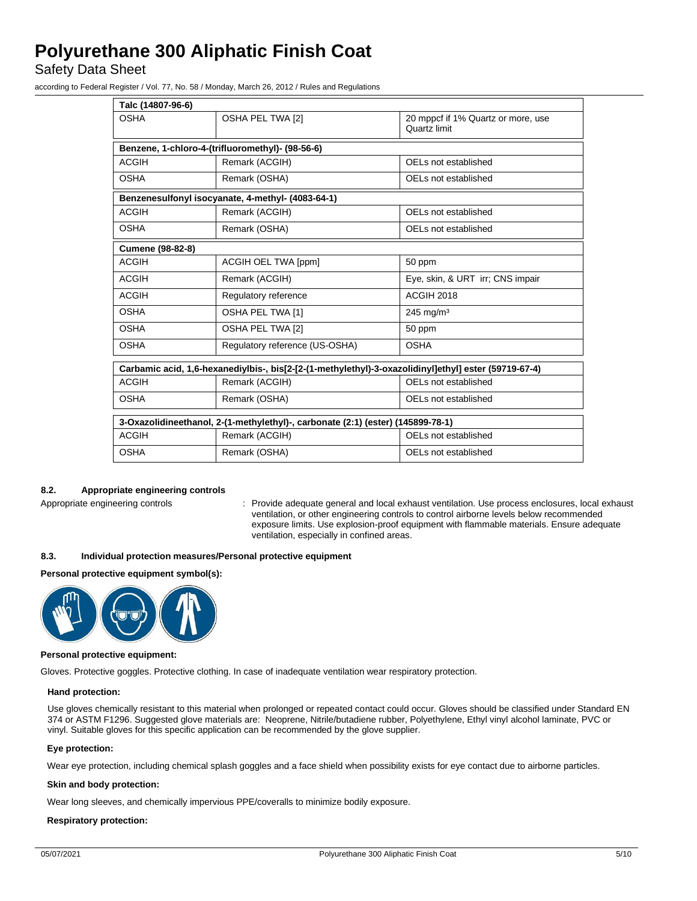Safety Data Sheet

according to Federal Register / Vol. 77, No. 58 / Monday, March 26, 2012 / Rules and Regulations

| Talc (14807-96-6)                                                                                    |                                                                                                       |  |  |
|------------------------------------------------------------------------------------------------------|-------------------------------------------------------------------------------------------------------|--|--|
| OSHA PEL TWA [2]                                                                                     | 20 mppcf if 1% Quartz or more, use<br>Quartz limit                                                    |  |  |
|                                                                                                      |                                                                                                       |  |  |
| Remark (ACGIH)                                                                                       | OELs not established                                                                                  |  |  |
| Remark (OSHA)                                                                                        | OELs not established                                                                                  |  |  |
|                                                                                                      |                                                                                                       |  |  |
| Remark (ACGIH)                                                                                       | OELs not established                                                                                  |  |  |
| Remark (OSHA)                                                                                        | OELs not established                                                                                  |  |  |
|                                                                                                      |                                                                                                       |  |  |
| <b>ACGIH OEL TWA [ppm]</b>                                                                           | 50 ppm                                                                                                |  |  |
| Remark (ACGIH)                                                                                       | Eye, skin, & URT irr; CNS impair                                                                      |  |  |
| Regulatory reference                                                                                 | <b>ACGIH 2018</b>                                                                                     |  |  |
| OSHA PEL TWA [1]                                                                                     | $245$ mg/m <sup>3</sup>                                                                               |  |  |
| OSHA PEL TWA [2]                                                                                     | 50 ppm                                                                                                |  |  |
| Regulatory reference (US-OSHA)                                                                       | <b>OSHA</b>                                                                                           |  |  |
| Carbamic acid, 1,6-hexanediylbis-, bis[2-[2-(1-methylethyl)-3-oxazolidinyl]ethyl] ester (59719-67-4) |                                                                                                       |  |  |
| Remark (ACGIH)                                                                                       | OELs not established                                                                                  |  |  |
| Remark (OSHA)                                                                                        | OELs not established                                                                                  |  |  |
| 3-Oxazolidineethanol, 2-(1-methylethyl)-, carbonate (2:1) (ester) (145899-78-1)                      |                                                                                                       |  |  |
| Remark (ACGIH)                                                                                       | OELs not established                                                                                  |  |  |
| Remark (OSHA)                                                                                        | OELs not established                                                                                  |  |  |
|                                                                                                      | Benzene, 1-chloro-4-(trifluoromethyl)- (98-56-6)<br>Benzenesulfonyl isocyanate, 4-methyl- (4083-64-1) |  |  |

## **8.2. Appropriate engineering controls**

Appropriate engineering controls : Provide adequate general and local exhaust ventilation. Use process enclosures, local exhaust ventilation, or other engineering controls to control airborne levels below recommended exposure limits. Use explosion-proof equipment with flammable materials. Ensure adequate ventilation, especially in confined areas.

## **8.3. Individual protection measures/Personal protective equipment**

### **Personal protective equipment symbol(s):**



#### **Personal protective equipment:**

Gloves. Protective goggles. Protective clothing. In case of inadequate ventilation wear respiratory protection.

#### **Hand protection:**

Use gloves chemically resistant to this material when prolonged or repeated contact could occur. Gloves should be classified under Standard EN 374 or ASTM F1296. Suggested glove materials are: Neoprene, Nitrile/butadiene rubber, Polyethylene, Ethyl vinyl alcohol laminate, PVC or vinyl. Suitable gloves for this specific application can be recommended by the glove supplier.

## **Eye protection:**

Wear eye protection, including chemical splash goggles and a face shield when possibility exists for eye contact due to airborne particles.

## **Skin and body protection:**

Wear long sleeves, and chemically impervious PPE/coveralls to minimize bodily exposure.

## **Respiratory protection:**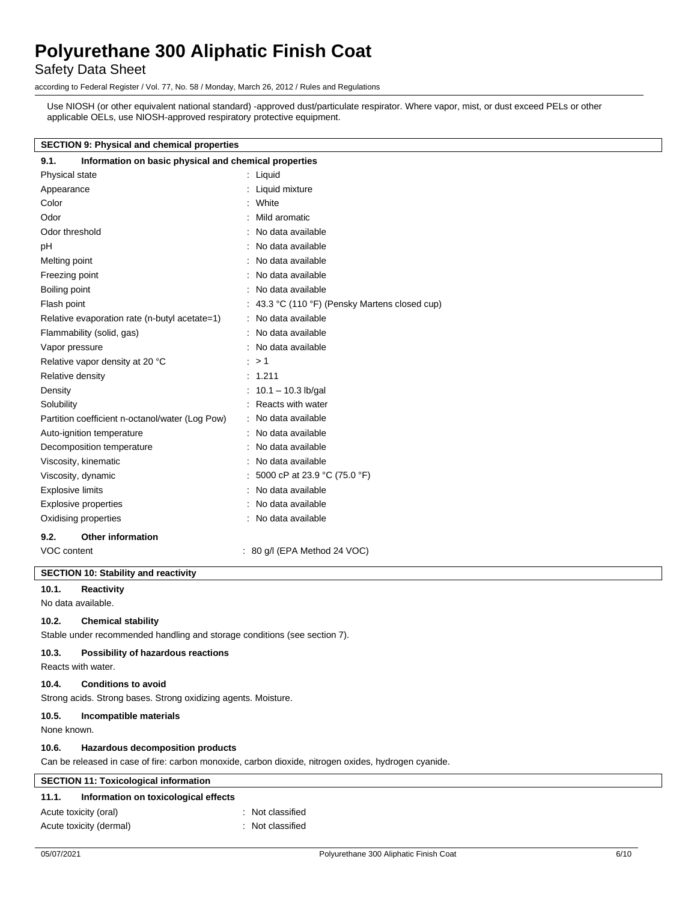## Safety Data Sheet

according to Federal Register / Vol. 77, No. 58 / Monday, March 26, 2012 / Rules and Regulations

Use NIOSH (or other equivalent national standard) -approved dust/particulate respirator. Where vapor, mist, or dust exceed PELs or other applicable OELs, use NIOSH-approved respiratory protective equipment.

### **SECTION 9: Physical and chemical properties**

| 9.1.<br>Information on basic physical and chemical properties |                                                |  |
|---------------------------------------------------------------|------------------------------------------------|--|
| Physical state                                                | : Liquid                                       |  |
| Appearance                                                    | Liquid mixture                                 |  |
| Color                                                         | : White                                        |  |
| Odor                                                          | Mild aromatic                                  |  |
| Odor threshold                                                | : No data available                            |  |
| рH                                                            | No data available                              |  |
| Melting point                                                 | : No data available                            |  |
| Freezing point                                                | : No data available                            |  |
| Boiling point                                                 | : No data available                            |  |
| Flash point                                                   | : 43.3 °C (110 °F) (Pensky Martens closed cup) |  |
| Relative evaporation rate (n-butyl acetate=1)                 | : No data available                            |  |
| Flammability (solid, gas)                                     | : No data available                            |  |
| Vapor pressure                                                | : No data available                            |  |
| Relative vapor density at 20 °C                               | : > 1                                          |  |
| Relative density                                              | : 1.211                                        |  |
| Density                                                       | : $10.1 - 10.3$ lb/gal                         |  |
| Solubility                                                    | Reacts with water                              |  |
| Partition coefficient n-octanol/water (Log Pow)               | : No data available                            |  |
| Auto-ignition temperature                                     | No data available                              |  |
| Decomposition temperature                                     | : No data available                            |  |
| Viscosity, kinematic                                          | No data available                              |  |
| Viscosity, dynamic                                            | : 5000 cP at 23.9 °C (75.0 °F)                 |  |
| <b>Explosive limits</b>                                       | No data available                              |  |
| Explosive properties                                          | : No data available                            |  |
| Oxidising properties                                          | : No data available                            |  |
| <b>Other information</b><br>9.2.                              |                                                |  |
| VOC content                                                   | $: 80$ g/l (EPA Method 24 VOC)                 |  |
| <b>SECTION 10: Stability and reactivity</b>                   |                                                |  |

## **10.1. Reactivity**

No data available.

## **10.2. Chemical stability**

Stable under recommended handling and storage conditions (see section 7).

### **10.3. Possibility of hazardous reactions**

Reacts with water.

## **10.4. Conditions to avoid**

Strong acids. Strong bases. Strong oxidizing agents. Moisture.

### **10.5. Incompatible materials**

None known.

### **10.6. Hazardous decomposition products**

Can be released in case of fire: carbon monoxide, carbon dioxide, nitrogen oxides, hydrogen cyanide.

| <b>SECTION 11: Toxicological information</b> |                                      |                  |  |
|----------------------------------------------|--------------------------------------|------------------|--|
| 11.1.                                        | Information on toxicological effects |                  |  |
| Acute toxicity (oral)                        |                                      | : Not classified |  |
| Acute toxicity (dermal)                      |                                      | : Not classified |  |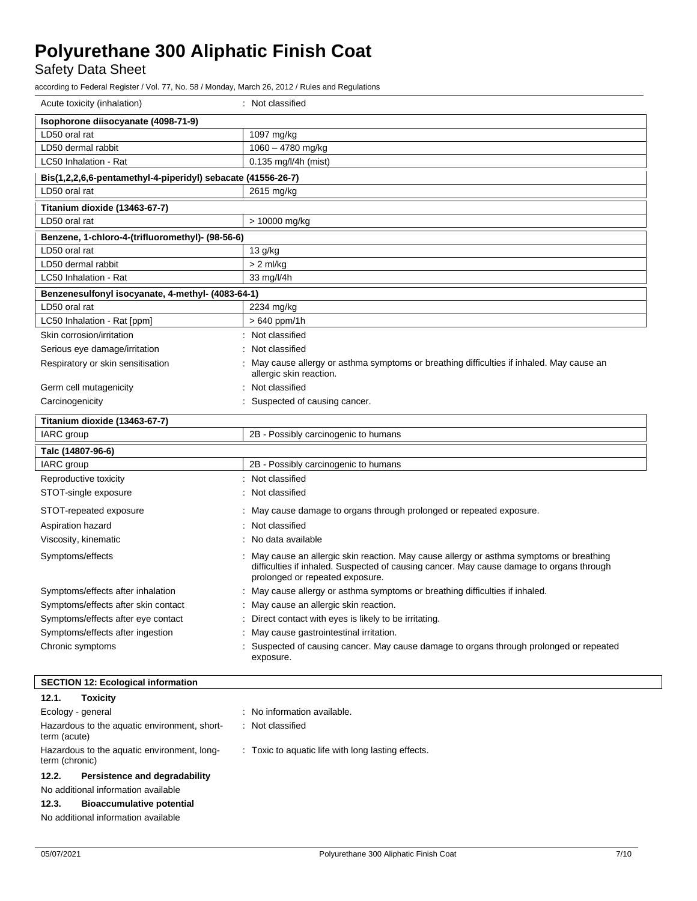Safety Data Sheet

according to Federal Register / Vol. 77, No. 58 / Monday, March 26, 2012 / Rules and Regulations

| Isophorone diisocyanate (4098-71-9)<br>LD50 oral rat<br>1097 mg/kg<br>1060 - 4780 mg/kg<br>LD50 dermal rabbit<br>LC50 Inhalation - Rat<br>$0.135$ mg/l/4h (mist)<br>Bis(1,2,2,6,6-pentamethyl-4-piperidyl) sebacate (41556-26-7)<br>LD50 oral rat<br>2615 mg/kg<br>Titanium dioxide (13463-67-7)<br>LD50 oral rat<br>> 10000 mg/kg<br>Benzene, 1-chloro-4-(trifluoromethyl)- (98-56-6)<br>LD50 oral rat<br>13 g/kg<br>LD50 dermal rabbit<br>$> 2$ ml/kg<br>33 mg/l/4h<br>LC50 Inhalation - Rat<br>Benzenesulfonyl isocyanate, 4-methyl- (4083-64-1)<br>LD50 oral rat<br>2234 mg/kg<br>LC50 Inhalation - Rat [ppm]<br>$>640$ ppm/1h<br>Skin corrosion/irritation<br>Not classified<br>Not classified<br>Serious eye damage/irritation<br>May cause allergy or asthma symptoms or breathing difficulties if inhaled. May cause an<br>Respiratory or skin sensitisation<br>allergic skin reaction.<br>Not classified<br>Germ cell mutagenicity<br>Carcinogenicity<br>: Suspected of causing cancer.<br>Titanium dioxide (13463-67-7)<br>IARC group<br>2B - Possibly carcinogenic to humans<br>Talc (14807-96-6)<br>IARC group<br>2B - Possibly carcinogenic to humans<br>Reproductive toxicity<br>: Not classified<br>Not classified<br>STOT-single exposure<br>STOT-repeated exposure<br>May cause damage to organs through prolonged or repeated exposure.<br>Not classified<br>Aspiration hazard<br>No data available<br>Viscosity, kinematic<br>May cause an allergic skin reaction. May cause allergy or asthma symptoms or breathing<br>Symptoms/effects<br>difficulties if inhaled. Suspected of causing cancer. May cause damage to organs through<br>prolonged or repeated exposure.<br>Symptoms/effects after inhalation<br>May cause allergy or asthma symptoms or breathing difficulties if inhaled.<br>Symptoms/effects after skin contact<br>May cause an allergic skin reaction.<br>Symptoms/effects after eye contact<br>Direct contact with eyes is likely to be irritating.<br>Symptoms/effects after ingestion<br>May cause gastrointestinal irritation.<br>Chronic symptoms<br>Suspected of causing cancer. May cause damage to organs through prolonged or repeated<br>exposure. | Acute toxicity (inhalation) | : Not classified |  |  |  |
|----------------------------------------------------------------------------------------------------------------------------------------------------------------------------------------------------------------------------------------------------------------------------------------------------------------------------------------------------------------------------------------------------------------------------------------------------------------------------------------------------------------------------------------------------------------------------------------------------------------------------------------------------------------------------------------------------------------------------------------------------------------------------------------------------------------------------------------------------------------------------------------------------------------------------------------------------------------------------------------------------------------------------------------------------------------------------------------------------------------------------------------------------------------------------------------------------------------------------------------------------------------------------------------------------------------------------------------------------------------------------------------------------------------------------------------------------------------------------------------------------------------------------------------------------------------------------------------------------------------------------------------------------------------------------------------------------------------------------------------------------------------------------------------------------------------------------------------------------------------------------------------------------------------------------------------------------------------------------------------------------------------------------------------------------------------------------------------------------------------------------------------------------------------------------------------------------|-----------------------------|------------------|--|--|--|
|                                                                                                                                                                                                                                                                                                                                                                                                                                                                                                                                                                                                                                                                                                                                                                                                                                                                                                                                                                                                                                                                                                                                                                                                                                                                                                                                                                                                                                                                                                                                                                                                                                                                                                                                                                                                                                                                                                                                                                                                                                                                                                                                                                                                    |                             |                  |  |  |  |
|                                                                                                                                                                                                                                                                                                                                                                                                                                                                                                                                                                                                                                                                                                                                                                                                                                                                                                                                                                                                                                                                                                                                                                                                                                                                                                                                                                                                                                                                                                                                                                                                                                                                                                                                                                                                                                                                                                                                                                                                                                                                                                                                                                                                    |                             |                  |  |  |  |
|                                                                                                                                                                                                                                                                                                                                                                                                                                                                                                                                                                                                                                                                                                                                                                                                                                                                                                                                                                                                                                                                                                                                                                                                                                                                                                                                                                                                                                                                                                                                                                                                                                                                                                                                                                                                                                                                                                                                                                                                                                                                                                                                                                                                    |                             |                  |  |  |  |
|                                                                                                                                                                                                                                                                                                                                                                                                                                                                                                                                                                                                                                                                                                                                                                                                                                                                                                                                                                                                                                                                                                                                                                                                                                                                                                                                                                                                                                                                                                                                                                                                                                                                                                                                                                                                                                                                                                                                                                                                                                                                                                                                                                                                    |                             |                  |  |  |  |
|                                                                                                                                                                                                                                                                                                                                                                                                                                                                                                                                                                                                                                                                                                                                                                                                                                                                                                                                                                                                                                                                                                                                                                                                                                                                                                                                                                                                                                                                                                                                                                                                                                                                                                                                                                                                                                                                                                                                                                                                                                                                                                                                                                                                    |                             |                  |  |  |  |
|                                                                                                                                                                                                                                                                                                                                                                                                                                                                                                                                                                                                                                                                                                                                                                                                                                                                                                                                                                                                                                                                                                                                                                                                                                                                                                                                                                                                                                                                                                                                                                                                                                                                                                                                                                                                                                                                                                                                                                                                                                                                                                                                                                                                    |                             |                  |  |  |  |
|                                                                                                                                                                                                                                                                                                                                                                                                                                                                                                                                                                                                                                                                                                                                                                                                                                                                                                                                                                                                                                                                                                                                                                                                                                                                                                                                                                                                                                                                                                                                                                                                                                                                                                                                                                                                                                                                                                                                                                                                                                                                                                                                                                                                    |                             |                  |  |  |  |
|                                                                                                                                                                                                                                                                                                                                                                                                                                                                                                                                                                                                                                                                                                                                                                                                                                                                                                                                                                                                                                                                                                                                                                                                                                                                                                                                                                                                                                                                                                                                                                                                                                                                                                                                                                                                                                                                                                                                                                                                                                                                                                                                                                                                    |                             |                  |  |  |  |
|                                                                                                                                                                                                                                                                                                                                                                                                                                                                                                                                                                                                                                                                                                                                                                                                                                                                                                                                                                                                                                                                                                                                                                                                                                                                                                                                                                                                                                                                                                                                                                                                                                                                                                                                                                                                                                                                                                                                                                                                                                                                                                                                                                                                    |                             |                  |  |  |  |
|                                                                                                                                                                                                                                                                                                                                                                                                                                                                                                                                                                                                                                                                                                                                                                                                                                                                                                                                                                                                                                                                                                                                                                                                                                                                                                                                                                                                                                                                                                                                                                                                                                                                                                                                                                                                                                                                                                                                                                                                                                                                                                                                                                                                    |                             |                  |  |  |  |
|                                                                                                                                                                                                                                                                                                                                                                                                                                                                                                                                                                                                                                                                                                                                                                                                                                                                                                                                                                                                                                                                                                                                                                                                                                                                                                                                                                                                                                                                                                                                                                                                                                                                                                                                                                                                                                                                                                                                                                                                                                                                                                                                                                                                    |                             |                  |  |  |  |
|                                                                                                                                                                                                                                                                                                                                                                                                                                                                                                                                                                                                                                                                                                                                                                                                                                                                                                                                                                                                                                                                                                                                                                                                                                                                                                                                                                                                                                                                                                                                                                                                                                                                                                                                                                                                                                                                                                                                                                                                                                                                                                                                                                                                    |                             |                  |  |  |  |
|                                                                                                                                                                                                                                                                                                                                                                                                                                                                                                                                                                                                                                                                                                                                                                                                                                                                                                                                                                                                                                                                                                                                                                                                                                                                                                                                                                                                                                                                                                                                                                                                                                                                                                                                                                                                                                                                                                                                                                                                                                                                                                                                                                                                    |                             |                  |  |  |  |
|                                                                                                                                                                                                                                                                                                                                                                                                                                                                                                                                                                                                                                                                                                                                                                                                                                                                                                                                                                                                                                                                                                                                                                                                                                                                                                                                                                                                                                                                                                                                                                                                                                                                                                                                                                                                                                                                                                                                                                                                                                                                                                                                                                                                    |                             |                  |  |  |  |
|                                                                                                                                                                                                                                                                                                                                                                                                                                                                                                                                                                                                                                                                                                                                                                                                                                                                                                                                                                                                                                                                                                                                                                                                                                                                                                                                                                                                                                                                                                                                                                                                                                                                                                                                                                                                                                                                                                                                                                                                                                                                                                                                                                                                    |                             |                  |  |  |  |
|                                                                                                                                                                                                                                                                                                                                                                                                                                                                                                                                                                                                                                                                                                                                                                                                                                                                                                                                                                                                                                                                                                                                                                                                                                                                                                                                                                                                                                                                                                                                                                                                                                                                                                                                                                                                                                                                                                                                                                                                                                                                                                                                                                                                    |                             |                  |  |  |  |
|                                                                                                                                                                                                                                                                                                                                                                                                                                                                                                                                                                                                                                                                                                                                                                                                                                                                                                                                                                                                                                                                                                                                                                                                                                                                                                                                                                                                                                                                                                                                                                                                                                                                                                                                                                                                                                                                                                                                                                                                                                                                                                                                                                                                    |                             |                  |  |  |  |
|                                                                                                                                                                                                                                                                                                                                                                                                                                                                                                                                                                                                                                                                                                                                                                                                                                                                                                                                                                                                                                                                                                                                                                                                                                                                                                                                                                                                                                                                                                                                                                                                                                                                                                                                                                                                                                                                                                                                                                                                                                                                                                                                                                                                    |                             |                  |  |  |  |
|                                                                                                                                                                                                                                                                                                                                                                                                                                                                                                                                                                                                                                                                                                                                                                                                                                                                                                                                                                                                                                                                                                                                                                                                                                                                                                                                                                                                                                                                                                                                                                                                                                                                                                                                                                                                                                                                                                                                                                                                                                                                                                                                                                                                    |                             |                  |  |  |  |
|                                                                                                                                                                                                                                                                                                                                                                                                                                                                                                                                                                                                                                                                                                                                                                                                                                                                                                                                                                                                                                                                                                                                                                                                                                                                                                                                                                                                                                                                                                                                                                                                                                                                                                                                                                                                                                                                                                                                                                                                                                                                                                                                                                                                    |                             |                  |  |  |  |
|                                                                                                                                                                                                                                                                                                                                                                                                                                                                                                                                                                                                                                                                                                                                                                                                                                                                                                                                                                                                                                                                                                                                                                                                                                                                                                                                                                                                                                                                                                                                                                                                                                                                                                                                                                                                                                                                                                                                                                                                                                                                                                                                                                                                    |                             |                  |  |  |  |
|                                                                                                                                                                                                                                                                                                                                                                                                                                                                                                                                                                                                                                                                                                                                                                                                                                                                                                                                                                                                                                                                                                                                                                                                                                                                                                                                                                                                                                                                                                                                                                                                                                                                                                                                                                                                                                                                                                                                                                                                                                                                                                                                                                                                    |                             |                  |  |  |  |
|                                                                                                                                                                                                                                                                                                                                                                                                                                                                                                                                                                                                                                                                                                                                                                                                                                                                                                                                                                                                                                                                                                                                                                                                                                                                                                                                                                                                                                                                                                                                                                                                                                                                                                                                                                                                                                                                                                                                                                                                                                                                                                                                                                                                    |                             |                  |  |  |  |
|                                                                                                                                                                                                                                                                                                                                                                                                                                                                                                                                                                                                                                                                                                                                                                                                                                                                                                                                                                                                                                                                                                                                                                                                                                                                                                                                                                                                                                                                                                                                                                                                                                                                                                                                                                                                                                                                                                                                                                                                                                                                                                                                                                                                    |                             |                  |  |  |  |
|                                                                                                                                                                                                                                                                                                                                                                                                                                                                                                                                                                                                                                                                                                                                                                                                                                                                                                                                                                                                                                                                                                                                                                                                                                                                                                                                                                                                                                                                                                                                                                                                                                                                                                                                                                                                                                                                                                                                                                                                                                                                                                                                                                                                    |                             |                  |  |  |  |
|                                                                                                                                                                                                                                                                                                                                                                                                                                                                                                                                                                                                                                                                                                                                                                                                                                                                                                                                                                                                                                                                                                                                                                                                                                                                                                                                                                                                                                                                                                                                                                                                                                                                                                                                                                                                                                                                                                                                                                                                                                                                                                                                                                                                    |                             |                  |  |  |  |
|                                                                                                                                                                                                                                                                                                                                                                                                                                                                                                                                                                                                                                                                                                                                                                                                                                                                                                                                                                                                                                                                                                                                                                                                                                                                                                                                                                                                                                                                                                                                                                                                                                                                                                                                                                                                                                                                                                                                                                                                                                                                                                                                                                                                    |                             |                  |  |  |  |
|                                                                                                                                                                                                                                                                                                                                                                                                                                                                                                                                                                                                                                                                                                                                                                                                                                                                                                                                                                                                                                                                                                                                                                                                                                                                                                                                                                                                                                                                                                                                                                                                                                                                                                                                                                                                                                                                                                                                                                                                                                                                                                                                                                                                    |                             |                  |  |  |  |
|                                                                                                                                                                                                                                                                                                                                                                                                                                                                                                                                                                                                                                                                                                                                                                                                                                                                                                                                                                                                                                                                                                                                                                                                                                                                                                                                                                                                                                                                                                                                                                                                                                                                                                                                                                                                                                                                                                                                                                                                                                                                                                                                                                                                    |                             |                  |  |  |  |
|                                                                                                                                                                                                                                                                                                                                                                                                                                                                                                                                                                                                                                                                                                                                                                                                                                                                                                                                                                                                                                                                                                                                                                                                                                                                                                                                                                                                                                                                                                                                                                                                                                                                                                                                                                                                                                                                                                                                                                                                                                                                                                                                                                                                    |                             |                  |  |  |  |
|                                                                                                                                                                                                                                                                                                                                                                                                                                                                                                                                                                                                                                                                                                                                                                                                                                                                                                                                                                                                                                                                                                                                                                                                                                                                                                                                                                                                                                                                                                                                                                                                                                                                                                                                                                                                                                                                                                                                                                                                                                                                                                                                                                                                    |                             |                  |  |  |  |
|                                                                                                                                                                                                                                                                                                                                                                                                                                                                                                                                                                                                                                                                                                                                                                                                                                                                                                                                                                                                                                                                                                                                                                                                                                                                                                                                                                                                                                                                                                                                                                                                                                                                                                                                                                                                                                                                                                                                                                                                                                                                                                                                                                                                    |                             |                  |  |  |  |
|                                                                                                                                                                                                                                                                                                                                                                                                                                                                                                                                                                                                                                                                                                                                                                                                                                                                                                                                                                                                                                                                                                                                                                                                                                                                                                                                                                                                                                                                                                                                                                                                                                                                                                                                                                                                                                                                                                                                                                                                                                                                                                                                                                                                    |                             |                  |  |  |  |
|                                                                                                                                                                                                                                                                                                                                                                                                                                                                                                                                                                                                                                                                                                                                                                                                                                                                                                                                                                                                                                                                                                                                                                                                                                                                                                                                                                                                                                                                                                                                                                                                                                                                                                                                                                                                                                                                                                                                                                                                                                                                                                                                                                                                    |                             |                  |  |  |  |
|                                                                                                                                                                                                                                                                                                                                                                                                                                                                                                                                                                                                                                                                                                                                                                                                                                                                                                                                                                                                                                                                                                                                                                                                                                                                                                                                                                                                                                                                                                                                                                                                                                                                                                                                                                                                                                                                                                                                                                                                                                                                                                                                                                                                    |                             |                  |  |  |  |

## **SECTION 12: Ecological information**

| 12.1.                                                         | <b>Toxicity</b>                     |                                                    |
|---------------------------------------------------------------|-------------------------------------|----------------------------------------------------|
| Ecology - general                                             |                                     | : No information available.                        |
| Hazardous to the aquatic environment, short-<br>term (acute)  |                                     | : Not classified                                   |
| Hazardous to the aquatic environment, long-<br>term (chronic) |                                     | : Toxic to aquatic life with long lasting effects. |
| Persistence and degradability<br>12.2.                        |                                     |                                                    |
| No additional information available                           |                                     |                                                    |
| 12.3.                                                         | <b>Bioaccumulative potential</b>    |                                                    |
|                                                               | No additional information available |                                                    |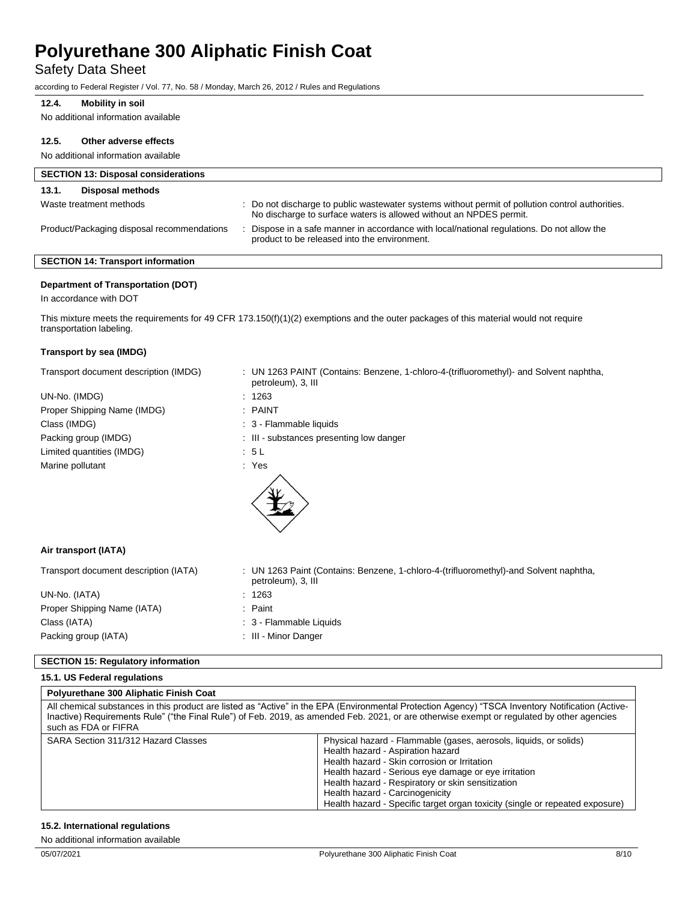## Safety Data Sheet

according to Federal Register / Vol. 77, No. 58 / Monday, March 26, 2012 / Rules and Regulations

## **12.4. Mobility in soil**

No additional information available

#### **12.5. Other adverse effects**

No additional information available

| <b>SECTION 13: Disposal considerations</b> |                                                                                                                                                                        |  |  |  |
|--------------------------------------------|------------------------------------------------------------------------------------------------------------------------------------------------------------------------|--|--|--|
| Disposal methods<br>13.1.                  |                                                                                                                                                                        |  |  |  |
| Waste treatment methods                    | : Do not discharge to public wastewater systems without permit of pollution control authorities.<br>No discharge to surface waters is allowed without an NPDES permit. |  |  |  |
| Product/Packaging disposal recommendations | Dispose in a safe manner in accordance with local/national regulations. Do not allow the<br>product to be released into the environment.                               |  |  |  |

## **SECTION 14: Transport information**

## **Department of Transportation (DOT)**

In accordance with DOT

This mixture meets the requirements for 49 CFR 173.150(f)(1)(2) exemptions and the outer packages of this material would not require transportation labeling.

#### **Transport by sea (IMDG)**

| Transport document description (IMDG) | : UN 1263 PAINT (Contains: Benzene, 1-chloro-4-(trifluoromethyl)- and Solvent naphtha,<br>petroleum), 3, III |
|---------------------------------------|--------------------------------------------------------------------------------------------------------------|
| UN-No. (IMDG)                         | : 1263                                                                                                       |
| Proper Shipping Name (IMDG)           | $:$ PAINT                                                                                                    |
| Class (IMDG)                          | : 3 - Flammable liquids                                                                                      |
| Packing group (IMDG)                  | : III - substances presenting low danger                                                                     |
| Limited quantities (IMDG)             | : 5 L                                                                                                        |
| Marine pollutant                      | : Yes                                                                                                        |
|                                       |                                                                                                              |
| Air transport (IATA)                  |                                                                                                              |
| Transport document description (IATA) | : UN 1263 Paint (Contains: Benzene, 1-chloro-4-(trifluoromethyl)-and Solvent naphtha,<br>petroleum), 3, III  |
| UN-No. (IATA)                         | : 1263                                                                                                       |
| Proper Shipping Name (IATA)           | : Paint                                                                                                      |

: 3 - Flammable Liquids : III - Minor Danger

| UIVIVU. (ININ)              |
|-----------------------------|
| Proper Shipping Name (IATA) |
| Class (IATA)                |
| Packing group (IATA)        |

## **SECTION 15: Regulatory information**

#### **15.1. US Federal regulations**

#### **Polyurethane 300 Aliphatic Finish Coat**

| All chemical substances in this product are listed as "Active" in the EPA (Environmental Protection Agency) "TSCA Inventory Notification (Active-<br>Inactive) Requirements Rule" ("the Final Rule") of Feb. 2019, as amended Feb. 2021, or are otherwise exempt or requlated by other agencies<br>such as FDA or FIFRA |                                                                                                                                                                                                                                                                                                                                                                                        |  |  |
|-------------------------------------------------------------------------------------------------------------------------------------------------------------------------------------------------------------------------------------------------------------------------------------------------------------------------|----------------------------------------------------------------------------------------------------------------------------------------------------------------------------------------------------------------------------------------------------------------------------------------------------------------------------------------------------------------------------------------|--|--|
| SARA Section 311/312 Hazard Classes                                                                                                                                                                                                                                                                                     | Physical hazard - Flammable (gases, aerosols, liquids, or solids)<br>Health hazard - Aspiration hazard<br>Health hazard - Skin corrosion or Irritation<br>Health hazard - Serious eye damage or eye irritation<br>Health hazard - Respiratory or skin sensitization<br>Health hazard - Carcinogenicity<br>Health hazard - Specific target organ toxicity (single or repeated exposure) |  |  |

## **15.2. International regulations**

No additional information available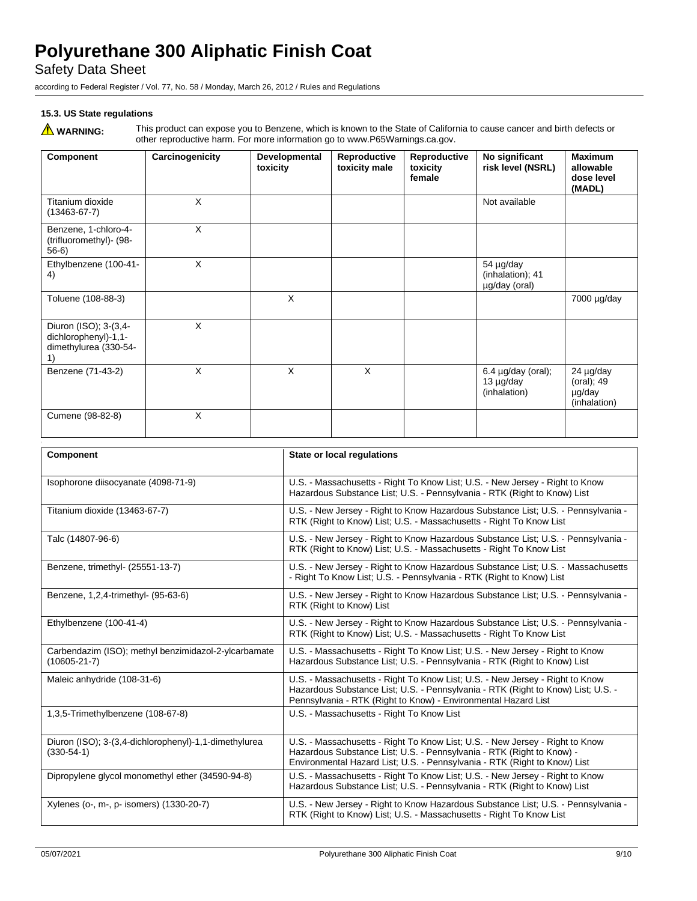Safety Data Sheet

according to Federal Register / Vol. 77, No. 58 / Monday, March 26, 2012 / Rules and Regulations

## **15.3. US State regulations**

WARNING: This product can expose you to Benzene, which is known to the State of California to cause cancer and birth defects or<br>other reproductive harm. For more information go to www.P65Warnings.ca.gov.

| Component                                                                    | Carcinogenicity | Developmental<br>toxicity | Reproductive<br>toxicity male | Reproductive<br>toxicity<br>female | No significant<br>risk level (NSRL)                  | <b>Maximum</b><br>allowable<br>dose level<br>(MADL) |
|------------------------------------------------------------------------------|-----------------|---------------------------|-------------------------------|------------------------------------|------------------------------------------------------|-----------------------------------------------------|
| Titanium dioxide<br>$(13463 - 67 - 7)$                                       | X               |                           |                               |                                    | Not available                                        |                                                     |
| Benzene, 1-chloro-4-<br>(trifluoromethyl) - (98-<br>$56-6$                   | $\times$        |                           |                               |                                    |                                                      |                                                     |
| Ethylbenzene (100-41-<br>4)                                                  | $\times$        |                           |                               |                                    | 54 µg/day<br>(inhalation); 41<br>µg/day (oral)       |                                                     |
| Toluene (108-88-3)                                                           |                 | X                         |                               |                                    |                                                      | 7000 µg/day                                         |
| Diuron (ISO); 3-(3,4-<br>dichlorophenyl)-1,1-<br>dimethylurea (330-54-<br>1) | X               |                           |                               |                                    |                                                      |                                                     |
| Benzene (71-43-2)                                                            | $\times$        | X                         | X                             |                                    | $6.4 \mu g/day$ (oral);<br>13 µg/day<br>(inhalation) | 24 µg/day<br>(oral); 49<br>µg/day<br>(inhalation)   |
| Cumene (98-82-8)                                                             | X               |                           |                               |                                    |                                                      |                                                     |

| Component                                                                  | State or local regulations                                                                                                                                                                                                         |
|----------------------------------------------------------------------------|------------------------------------------------------------------------------------------------------------------------------------------------------------------------------------------------------------------------------------|
| Isophorone diisocyanate (4098-71-9)                                        | U.S. - Massachusetts - Right To Know List; U.S. - New Jersey - Right to Know<br>Hazardous Substance List; U.S. - Pennsylvania - RTK (Right to Know) List                                                                           |
| Titanium dioxide (13463-67-7)                                              | U.S. - New Jersey - Right to Know Hazardous Substance List; U.S. - Pennsylvania -<br>RTK (Right to Know) List; U.S. - Massachusetts - Right To Know List                                                                           |
| Talc (14807-96-6)                                                          | U.S. - New Jersey - Right to Know Hazardous Substance List; U.S. - Pennsylvania -<br>RTK (Right to Know) List; U.S. - Massachusetts - Right To Know List                                                                           |
| Benzene, trimethyl- (25551-13-7)                                           | U.S. - New Jersey - Right to Know Hazardous Substance List; U.S. - Massachusetts<br>- Right To Know List; U.S. - Pennsylvania - RTK (Right to Know) List                                                                           |
| Benzene, 1,2,4-trimethyl- (95-63-6)                                        | U.S. - New Jersey - Right to Know Hazardous Substance List; U.S. - Pennsylvania -<br>RTK (Right to Know) List                                                                                                                      |
| Ethylbenzene (100-41-4)                                                    | U.S. - New Jersey - Right to Know Hazardous Substance List; U.S. - Pennsylvania -<br>RTK (Right to Know) List; U.S. - Massachusetts - Right To Know List                                                                           |
| Carbendazim (ISO); methyl benzimidazol-2-ylcarbamate<br>$(10605 - 21 - 7)$ | U.S. - Massachusetts - Right To Know List; U.S. - New Jersey - Right to Know<br>Hazardous Substance List; U.S. - Pennsylvania - RTK (Right to Know) List                                                                           |
| Maleic anhydride (108-31-6)                                                | U.S. - Massachusetts - Right To Know List; U.S. - New Jersey - Right to Know<br>Hazardous Substance List; U.S. - Pennsylvania - RTK (Right to Know) List; U.S. -<br>Pennsylvania - RTK (Right to Know) - Environmental Hazard List |
| 1,3,5-Trimethylbenzene (108-67-8)                                          | U.S. - Massachusetts - Right To Know List                                                                                                                                                                                          |
| Diuron (ISO); 3-(3,4-dichlorophenyl)-1,1-dimethylurea<br>$(330-54-1)$      | U.S. - Massachusetts - Right To Know List; U.S. - New Jersey - Right to Know<br>Hazardous Substance List; U.S. - Pennsylvania - RTK (Right to Know) -<br>Environmental Hazard List; U.S. - Pennsylvania - RTK (Right to Know) List |
| Dipropylene glycol monomethyl ether (34590-94-8)                           | U.S. - Massachusetts - Right To Know List; U.S. - New Jersey - Right to Know<br>Hazardous Substance List; U.S. - Pennsylvania - RTK (Right to Know) List                                                                           |
| Xylenes (o-, m-, p- isomers) (1330-20-7)                                   | U.S. - New Jersey - Right to Know Hazardous Substance List; U.S. - Pennsylvania -<br>RTK (Right to Know) List; U.S. - Massachusetts - Right To Know List                                                                           |